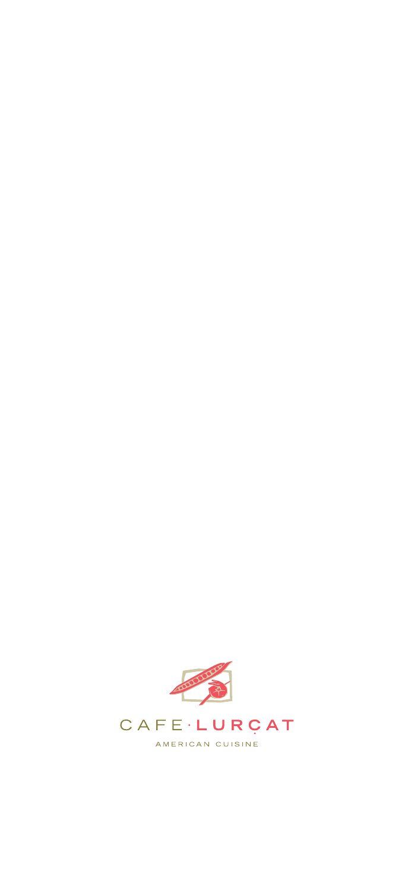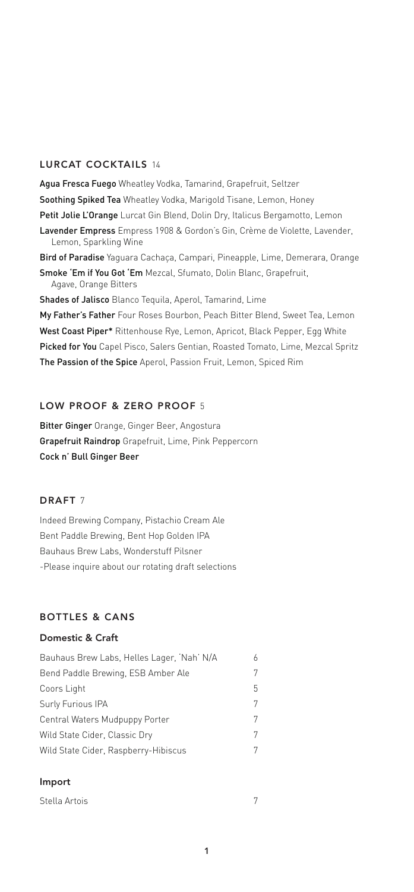### LURCAT COCKTAILS 14

Agua Fresca Fuego Wheatley Vodka, Tamarind, Grapefruit, Seltzer Soothing Spiked Tea Wheatley Vodka, Marigold Tisane, Lemon, Honey Petit Jolie L'Orange Lurcat Gin Blend, Dolin Dry, Italicus Bergamotto, Lemon Lavender Empress Empress 1908 & Gordon's Gin, Crème de Violette, Lavender, Lemon, Sparkling Wine Bird of Paradise Yaguara Cachaça, Campari, Pineapple, Lime, Demerara, Orange Smoke 'Em if You Got 'Em Mezcal, Sfumato, Dolin Blanc, Grapefruit,

Agave, Orange Bitters

Shades of Jalisco Blanco Tequila, Aperol, Tamarind, Lime

My Father's Father Four Roses Bourbon, Peach Bitter Blend, Sweet Tea, Lemon West Coast Piper\* Rittenhouse Rye, Lemon, Apricot, Black Pepper, Egg White Picked for You Capel Pisco, Salers Gentian, Roasted Tomato, Lime, Mezcal Spritz The Passion of the Spice Aperol, Passion Fruit, Lemon, Spiced Rim

### LOW PROOF & ZERO PROOF 5

Bitter Ginger Orange, Ginger Beer, Angostura Grapefruit Raindrop Grapefruit, Lime, Pink Peppercorn Cock n' Bull Ginger Beer

### DRAFT<sub>7</sub>

Indeed Brewing Company, Pistachio Cream Ale Bent Paddle Brewing, Bent Hop Golden IPA Bauhaus Brew Labs, Wonderstuff Pilsner -Please inquire about our rotating draft selections

#### BOTTLES & CANS

### Domestic & Craft

| Bauhaus Brew Labs, Helles Lager, 'Nah' N/A |    |
|--------------------------------------------|----|
| Bend Paddle Brewing, ESB Amber Ale         |    |
| Coors Light                                | h. |
| Surly Furious IPA                          |    |
| Central Waters Mudpuppy Porter             |    |
| Wild State Cider, Classic Dry              |    |
| Wild State Cider, Raspberry-Hibiscus       |    |

#### Import

| Stella Artois |  |
|---------------|--|
|               |  |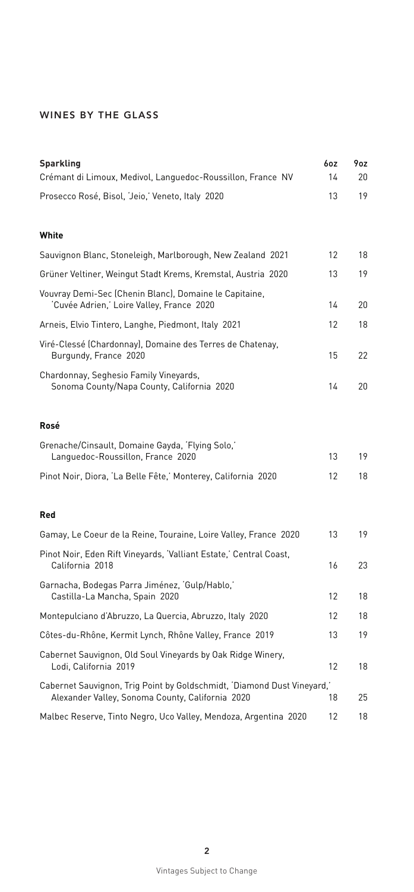# WINES BY THE GLASS

| <b>Sparkling</b><br>Crémant di Limoux, Medivol, Languedoc-Roussillon, France NV                                             | 6oz<br>14 | 9oz<br>20 |
|-----------------------------------------------------------------------------------------------------------------------------|-----------|-----------|
| Prosecco Rosé, Bisol, 'Jeio,' Veneto, Italy 2020                                                                            | 13        | 19        |
| White                                                                                                                       |           |           |
| Sauvignon Blanc, Stoneleigh, Marlborough, New Zealand 2021                                                                  | 12        | 18        |
| Grüner Veltiner, Weingut Stadt Krems, Kremstal, Austria 2020                                                                | 13        | 19        |
| Vouvray Demi-Sec (Chenin Blanc), Domaine le Capitaine,<br>'Cuvée Adrien,' Loire Valley, France 2020                         | 14        | 20        |
| Arneis, Elvio Tintero, Langhe, Piedmont, Italy 2021                                                                         | 12        | 18        |
| Viré-Clessé (Chardonnay), Domaine des Terres de Chatenay,<br>Burgundy, France 2020                                          | 15        | 22        |
| Chardonnay, Seghesio Family Vineyards,<br>Sonoma County/Napa County, California 2020                                        | 14        | 20        |
| Rosé                                                                                                                        |           |           |
| Grenache/Cinsault, Domaine Gayda, 'Flying Solo,'<br>Languedoc-Roussillon, France 2020                                       | 13        | 19        |
| Pinot Noir, Diora, 'La Belle Fête,' Monterey, California 2020                                                               | 12        | 18        |
| <b>Red</b>                                                                                                                  |           |           |
| Gamay, Le Coeur de la Reine, Touraine, Loire Valley, France 2020                                                            | 13        | 19        |
| Pinot Noir, Eden Rift Vineyards, 'Valliant Estate,' Central Coast,<br>California 2018                                       | 16        | 23        |
| Garnacha, Bodegas Parra Jiménez, 'Gulp/Hablo,'<br>Castilla-La Mancha, Spain 2020                                            | 12        | 18        |
| Montepulciano d'Abruzzo, La Quercia, Abruzzo, Italy 2020                                                                    | 12        | 18        |
| Côtes-du-Rhône, Kermit Lynch, Rhône Valley, France 2019                                                                     | 13        | 19        |
| Cabernet Sauvignon, Old Soul Vineyards by Oak Ridge Winery,<br>Lodi, California 2019                                        | 12        | 18        |
| Cabernet Sauvignon, Trig Point by Goldschmidt, 'Diamond Dust Vineyard,'<br>Alexander Valley, Sonoma County, California 2020 | 18        | 25        |
| Malbec Reserve, Tinto Negro, Uco Valley, Mendoza, Argentina 2020                                                            | 12        | 18        |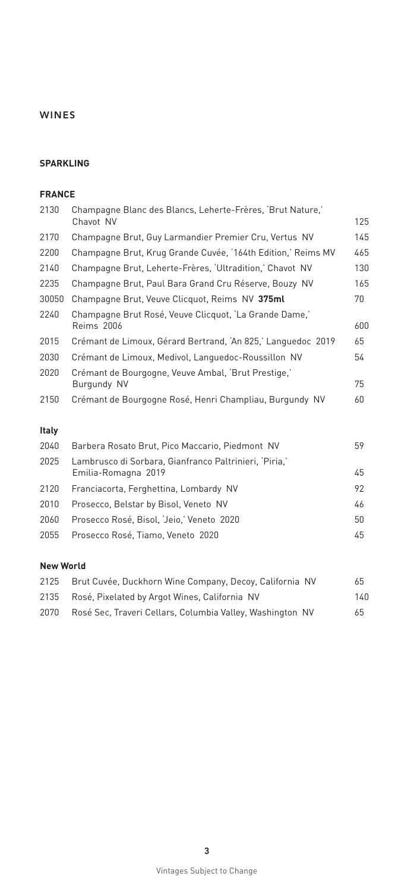#### **SPARKLING**

#### **FRANCE**

| 2130         | Champagne Blanc des Blancs, Leherte-Frères, 'Brut Nature,'                    |     |
|--------------|-------------------------------------------------------------------------------|-----|
|              | Chavot NV                                                                     | 125 |
| 2170         | Champagne Brut, Guy Larmandier Premier Cru, Vertus NV                         | 145 |
| 2200         | Champagne Brut, Krug Grande Cuvée, '164th Edition,' Reims MV                  | 465 |
| 2140         | Champagne Brut, Leherte-Frères, 'Ultradition,' Chavot NV                      | 130 |
| 2235         | Champagne Brut, Paul Bara Grand Cru Réserve, Bouzy NV                         | 165 |
| 30050        | Champagne Brut, Veuve Clicquot, Reims NV 375ml                                | 70  |
| 2240         | Champagne Brut Rosé, Veuve Clicquot, 'La Grande Dame,'                        |     |
|              | <b>Reims 2006</b>                                                             | 600 |
| 2015         | Crémant de Limoux, Gérard Bertrand, 'An 825,' Languedoc 2019                  | 65  |
| 2030         | Crémant de Limoux, Medivol, Languedoc-Roussillon NV                           | 54  |
| 2020         | Crémant de Bourgogne, Veuve Ambal, 'Brut Prestige,'<br>Burgundy NV            | 75  |
| 2150         | Crémant de Bourgogne Rosé, Henri Champliau, Burgundy NV                       | 60  |
| <b>Italy</b> |                                                                               |     |
| 2040         | Barbera Rosato Brut, Pico Maccario, Piedmont NV                               | 59  |
| 2025         | Lambrusco di Sorbara, Gianfranco Paltrinieri, 'Piria,'<br>Emilia-Romagna 2019 | 45  |
| 2120         | Franciacorta, Ferghettina, Lombardy NV                                        | 92  |
|              |                                                                               |     |

 Prosecco, Belstar by Bisol, Veneto NV 46 Prosecco Rosé, Bisol, 'Jeio,' Veneto 2020 50 Prosecco Rosé, Tiamo, Veneto 2020 45

#### **New World**

| 2125  | Brut Cuvée, Duckhorn Wine Company, Decoy, California NV   | 65   |
|-------|-----------------------------------------------------------|------|
| 2135  | Rosé, Pixelated by Argot Wines, California NV             | 140. |
| 2070. | Rosé Sec, Traveri Cellars, Columbia Valley, Washington NV | 65   |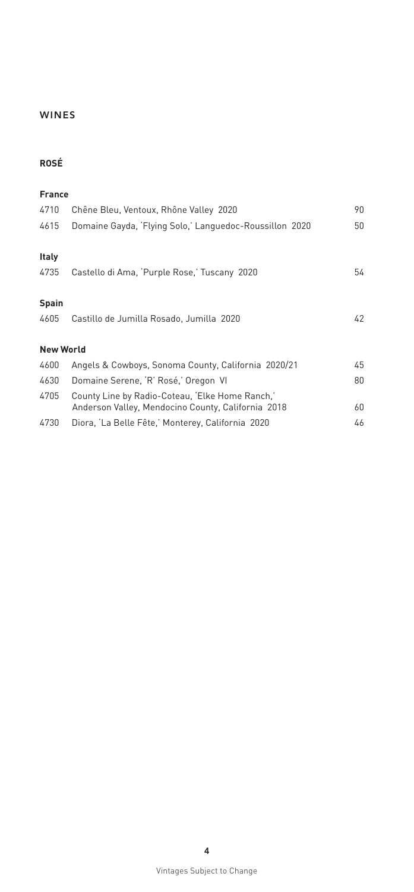# **ROSÉ**

| <b>France</b>    |                                                                                                       |    |
|------------------|-------------------------------------------------------------------------------------------------------|----|
| 4710             | Chêne Bleu, Ventoux, Rhône Valley 2020                                                                | 90 |
| 4615             | Domaine Gayda, 'Flying Solo,' Languedoc-Roussillon 2020                                               | 50 |
| <b>Italy</b>     |                                                                                                       |    |
| 4735             | Castello di Ama, 'Purple Rose,' Tuscany 2020                                                          | 54 |
| <b>Spain</b>     |                                                                                                       |    |
| 4605             | Castillo de Jumilla Rosado, Jumilla 2020                                                              | 42 |
| <b>New World</b> |                                                                                                       |    |
| 4600             | Angels & Cowboys, Sonoma County, California 2020/21                                                   | 45 |
| 4630             | Domaine Serene, 'R' Rosé,' Oregon VI                                                                  | 80 |
| 4705             | County Line by Radio-Coteau, 'Elke Home Ranch,'<br>Anderson Valley, Mendocino County, California 2018 | 60 |
| 4730             | Diora, 'La Belle Fête,' Monterey, California 2020                                                     | 46 |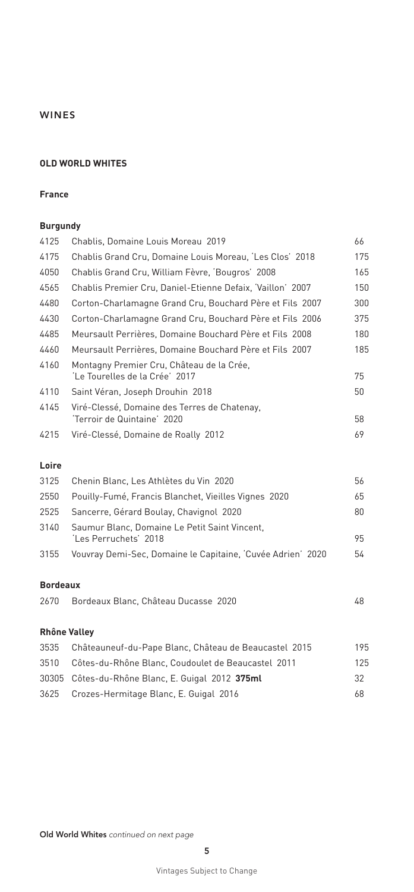#### **OLD WORLD WHITES**

#### **France**

#### **Burgundy**

| 4125            | Chablis, Domaine Louis Moreau 2019                                          | 66  |
|-----------------|-----------------------------------------------------------------------------|-----|
| 4175            | Chablis Grand Cru, Domaine Louis Moreau, 'Les Clos' 2018                    | 175 |
| 4050            | Chablis Grand Cru, William Fèvre, 'Bougros' 2008                            | 165 |
| 4565            | Chablis Premier Cru, Daniel-Etienne Defaix, 'Vaillon' 2007                  | 150 |
| 4480            | Corton-Charlamagne Grand Cru, Bouchard Père et Fils 2007                    | 300 |
| 4430            | Corton-Charlamagne Grand Cru, Bouchard Père et Fils 2006                    | 375 |
| 4485            | Meursault Perrières, Domaine Bouchard Père et Fils 2008                     | 180 |
| 4460            | Meursault Perrières, Domaine Bouchard Père et Fils 2007                     | 185 |
| 4160            | Montagny Premier Cru, Château de la Crée,<br>'Le Tourelles de la Crée' 2017 | 75  |
| 4110            | Saint Véran, Joseph Drouhin 2018                                            | 50  |
| 4145            | Viré-Clessé, Domaine des Terres de Chatenay,<br>'Terroir de Quintaine' 2020 | 58  |
| 4215            | Viré-Clessé, Domaine de Roally 2012                                         | 69  |
| Loire           |                                                                             |     |
| 3125            | Chenin Blanc, Les Athlètes du Vin 2020                                      | 56  |
| 2550            | Pouilly-Fumé, Francis Blanchet, Vieilles Vignes 2020                        | 65  |
| 2525            | Sancerre, Gérard Boulay, Chavignol 2020                                     | 80  |
| 3140            | Saumur Blanc, Domaine Le Petit Saint Vincent,<br>'Les Perruchets' 2018      | 95  |
| 3155            | Vouvray Demi-Sec, Domaine le Capitaine, 'Cuvée Adrien' 2020                 | 54  |
| <b>Bordeaux</b> |                                                                             |     |
| 2670            | Bordeaux Blanc, Château Ducasse 2020                                        | 48  |
|                 | <b>Rhône Valley</b>                                                         |     |
| 3535            | Châteauneuf-du-Pape Blanc, Château de Beaucastel 2015                       | 195 |
| 3510            | Côtes-du-Rhône Blanc, Coudoulet de Beaucastel 2011                          | 125 |
| 30305           | Côtes-du-Rhône Blanc, E. Guigal 2012 375ml                                  | 32  |

Crozes-Hermitage Blanc, E. Guigal 2016 68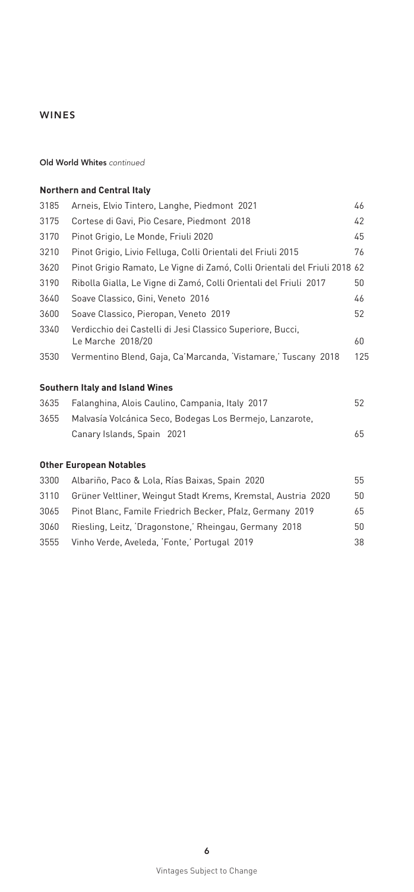#### Old World Whites *continued*

# **Northern and Central Italy** Arneis, Elvio Tintero, Langhe, Piedmont 2021 46 Cortese di Gavi, Pio Cesare, Piedmont 2018 42 Pinot Grigio, Le Monde, Friuli 2020 45 Pinot Grigio, Livio Felluga, Colli Orientali del Friuli 2015 76 Pinot Grigio Ramato, Le Vigne di Zamó, Colli Orientali del Friuli 2018 62 Ribolla Gialla, Le Vigne di Zamó, Colli Orientali del Friuli 2017 50 Soave Classico, Gini, Veneto 2016 46 Soave Classico, Pieropan, Veneto 2019 52 Verdicchio dei Castelli di Jesi Classico Superiore, Bucci, Le Marche 2018/20 60 Vermentino Blend, Gaja, Ca'Marcanda, 'Vistamare,' Tuscany 2018 125 **Southern Italy and Island Wines** Falanghina, Alois Caulino, Campania, Italy 2017 52 Malvasía Volcánica Seco, Bodegas Los Bermejo, Lanzarote, Canary Islands, Spain 2021 65 **Other European Notables** Albariño, Paco & Lola, Rías Baixas, Spain 2020 55 Grüner Veltliner, Weingut Stadt Krems, Kremstal, Austria 2020 50 Pinot Blanc, Famile Friedrich Becker, Pfalz, Germany 2019 65 Riesling, Leitz, 'Dragonstone,' Rheingau, Germany 2018 50 Vinho Verde, Aveleda, 'Fonte,' Portugal 2019 38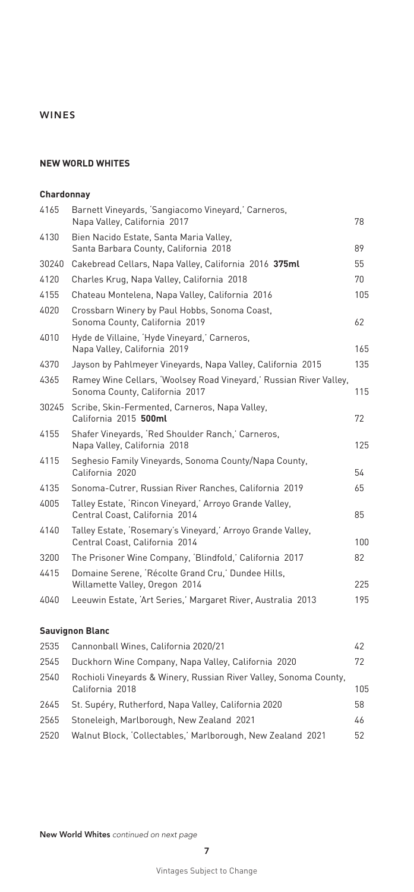#### **NEW WORLD WHITES**

#### **Chardonnay**

| Barnett Vineyards, 'Sangiacomo Vineyard,' Carneros,<br>Napa Valley, California 2017                  | 78  |
|------------------------------------------------------------------------------------------------------|-----|
| Bien Nacido Estate, Santa Maria Valley,<br>Santa Barbara County, California 2018                     | 89  |
| Cakebread Cellars, Napa Valley, California 2016 375ml                                                | 55  |
| Charles Krug, Napa Valley, California 2018                                                           | 70  |
| Chateau Montelena, Napa Valley, California 2016                                                      | 105 |
| Crossbarn Winery by Paul Hobbs, Sonoma Coast,<br>Sonoma County, California 2019                      | 62  |
| Hyde de Villaine, 'Hyde Vineyard,' Carneros,<br>Napa Valley, California 2019                         | 165 |
| Jayson by Pahlmeyer Vineyards, Napa Valley, California 2015                                          | 135 |
| Ramey Wine Cellars, 'Woolsey Road Vineyard,' Russian River Valley,<br>Sonoma County, California 2017 | 115 |
| Scribe, Skin-Fermented, Carneros, Napa Valley,<br>California 2015 500ml                              | 72  |
| Shafer Vineyards, 'Red Shoulder Ranch,' Carneros,<br>Napa Valley, California 2018                    | 125 |
| Seghesio Family Vineyards, Sonoma County/Napa County,<br>California 2020                             | 54  |
| Sonoma-Cutrer, Russian River Ranches, California 2019                                                | 65  |
| Talley Estate, 'Rincon Vineyard,' Arroyo Grande Valley,<br>Central Coast, California 2014            | 85  |
| Talley Estate, 'Rosemary's Vineyard,' Arroyo Grande Valley,<br>Central Coast, California 2014        | 100 |
| The Prisoner Wine Company, 'Blindfold,' California 2017                                              | 82  |
| Domaine Serene, 'Récolte Grand Cru,' Dundee Hills,<br>Willamette Valley, Oregon 2014                 | 225 |
| Leeuwin Estate, 'Art Series,' Margaret River, Australia 2013                                         | 195 |
|                                                                                                      |     |

# **Sauvignon Blanc**

| 2535 | Cannonball Wines, California 2020/21                                                 | 42  |
|------|--------------------------------------------------------------------------------------|-----|
| 2545 | Duckhorn Wine Company, Napa Valley, California 2020                                  | 72  |
| 2540 | Rochioli Vineyards & Winery, Russian River Valley, Sonoma County,<br>California 2018 | 105 |
| 2645 | St. Supéry, Rutherford, Napa Valley, California 2020                                 | 58  |
| 2565 | Stoneleigh, Marlborough, New Zealand 2021                                            | 46  |
| 2520 | Walnut Block, 'Collectables,' Marlborough, New Zealand 2021                          | 52  |
|      |                                                                                      |     |

New World Whites *continued on next page*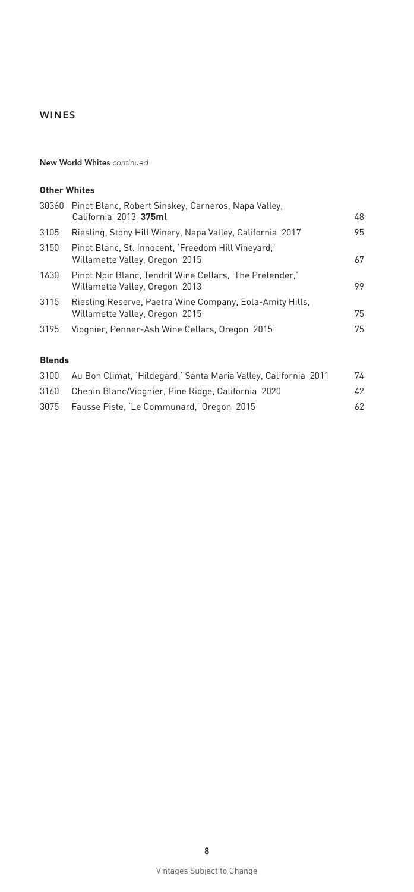#### New World Whites *continued*

### **Other Whites**

|      | 30360 Pinot Blanc, Robert Sinskey, Carneros, Napa Valley,<br>California 2013 375ml         | 48 |
|------|--------------------------------------------------------------------------------------------|----|
| 3105 | Riesling, Stony Hill Winery, Napa Valley, California 2017                                  | 95 |
| 3150 | Pinot Blanc, St. Innocent, 'Freedom Hill Vineyard,'<br>Willamette Valley, Oregon 2015      | 67 |
| 1630 | Pinot Noir Blanc, Tendril Wine Cellars, 'The Pretender,'<br>Willamette Valley, Oregon 2013 | 99 |
| 3115 | Riesling Reserve, Paetra Wine Company, Eola-Amity Hills,<br>Willamette Valley, Oregon 2015 | 75 |
| 3195 | Viognier, Penner-Ash Wine Cellars, Oregon 2015                                             | 75 |
|      |                                                                                            |    |

### **Blends**

| 3100 | Au Bon Climat, 'Hildegard,' Santa Maria Valley, California 2011 | 74  |
|------|-----------------------------------------------------------------|-----|
|      | 3160 Chenin Blanc/Viognier, Pine Ridge, California 2020         | 42  |
|      | 3075 Fausse Piste, 'Le Communard,' Oregon 2015                  | 62. |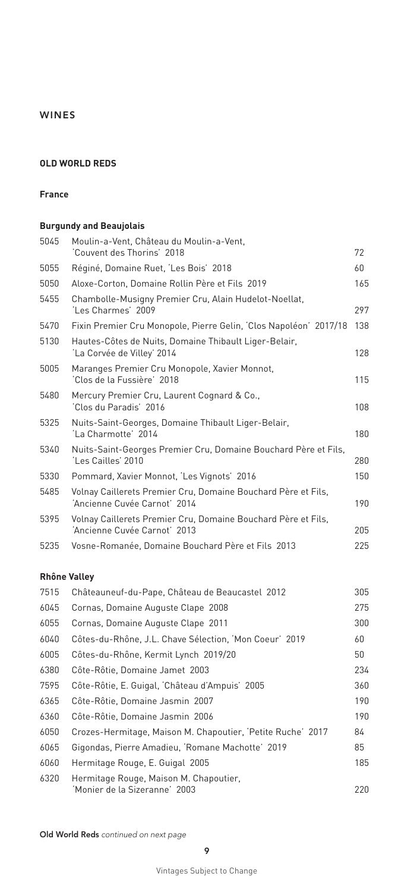#### **OLD WORLD REDS**

#### **France**

### **Burgundy and Beaujolais**

| 5045 | Moulin-a-Vent, Château du Moulin-a-Vent,<br>'Couvent des Thorins' 2018                        | 72  |
|------|-----------------------------------------------------------------------------------------------|-----|
| 5055 | Réginé, Domaine Ruet, 'Les Bois' 2018                                                         | 60  |
| 5050 | Aloxe-Corton, Domaine Rollin Père et Fils 2019                                                | 165 |
| 5455 | Chambolle-Musigny Premier Cru, Alain Hudelot-Noellat,<br>'Les Charmes' 2009                   | 297 |
| 5470 | Fixin Premier Cru Monopole, Pierre Gelin, 'Clos Napoléon' 2017/18                             | 138 |
| 5130 | Hautes-Côtes de Nuits, Domaine Thibault Liger-Belair,<br>'La Corvée de Villey' 2014           | 128 |
| 5005 | Maranges Premier Cru Monopole, Xavier Monnot,<br>'Clos de la Fussière' 2018                   | 115 |
| 5480 | Mercury Premier Cru, Laurent Cognard & Co.,<br>Clos du Paradis' 2016                          | 108 |
| 5325 | Nuits-Saint-Georges, Domaine Thibault Liger-Belair,<br>'La Charmotte' 2014                    | 180 |
| 5340 | Nuits-Saint-Georges Premier Cru, Domaine Bouchard Père et Fils,<br>'Les Cailles' 2010         | 280 |
| 5330 | Pommard, Xavier Monnot, 'Les Vignots' 2016                                                    | 150 |
| 5485 | Volnay Caillerets Premier Cru, Domaine Bouchard Père et Fils,<br>'Ancienne Cuvée Carnot' 2014 | 190 |
| 5395 | Volnay Caillerets Premier Cru, Domaine Bouchard Père et Fils,<br>'Ancienne Cuvée Carnot' 2013 | 205 |
| 5235 | Vosne-Romanée, Domaine Bouchard Père et Fils 2013                                             | 225 |
|      |                                                                                               |     |

#### **Rhône Valley**

| 7515 | Châteauneuf-du-Pape, Château de Beaucastel 2012             | 305 |
|------|-------------------------------------------------------------|-----|
| 6045 | Cornas, Domaine Auguste Clape 2008                          | 275 |
| 6055 | Cornas, Domaine Auguste Clape 2011                          | 300 |
| 6040 | Côtes-du-Rhône, J.L. Chave Sélection, 'Mon Coeur' 2019      | 60  |
| 6005 | Côtes-du-Rhône, Kermit Lynch 2019/20                        | 50  |
| 6380 | Côte-Rôtie, Domaine Jamet 2003                              | 234 |
| 7595 | Côte-Rôtie, E. Guigal, 'Château d'Ampuis' 2005              | 360 |
| 6365 | Côte-Rôtie, Domaine Jasmin 2007                             | 190 |
| 6360 | Côte-Rôtie, Domaine Jasmin 2006                             | 190 |
| 6050 | Crozes-Hermitage, Maison M. Chapoutier, 'Petite Ruche' 2017 | 84  |
| 6065 | Gigondas, Pierre Amadieu, 'Romane Machotte' 2019            | 85  |
| 6060 | Hermitage Rouge, E. Guigal 2005                             | 185 |
| 6320 | Hermitage Rouge, Maison M. Chapoutier,                      |     |
|      | 'Monier de la Sizeranne' 2003                               | 220 |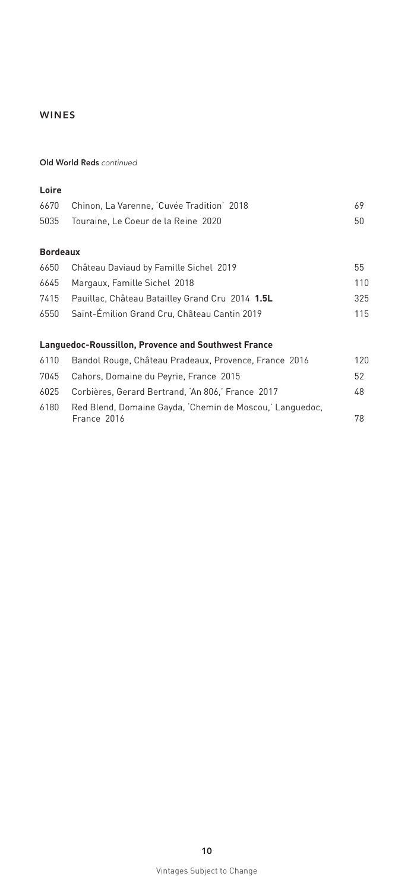#### Old World Reds *continued*

#### **Loire**

| 6670 Chinon, La Varenne, Cuvée Tradition' 2018 | 69. |
|------------------------------------------------|-----|
| 5035 Touraine, Le Coeur de la Reine 2020       | 50. |

# **Bordeaux**

| 6650 | Château Daviaud by Famille Sichel 2019               | 55  |
|------|------------------------------------------------------|-----|
|      | 6645 Margaux, Famille Sichel 2018                    | 110 |
|      | 7415 Pauillac, Château Batailley Grand Cru 2014 1.5L | 325 |
|      | 6550 Saint-Émilion Grand Cru, Château Cantin 2019    | 115 |

#### **Languedoc-Roussillon, Provence and Southwest France**

| 6110 | Bandol Rouge, Château Pradeaux, Provence, France 2016                   | 120 |
|------|-------------------------------------------------------------------------|-----|
|      | 7045 Cahors, Domaine du Peyrie, France 2015                             | 52  |
| 6025 | Corbières, Gerard Bertrand, 'An 806,' France 2017                       | 48  |
| 6180 | Red Blend, Domaine Gayda, 'Chemin de Moscou,' Languedoc,<br>France 2016 | 78  |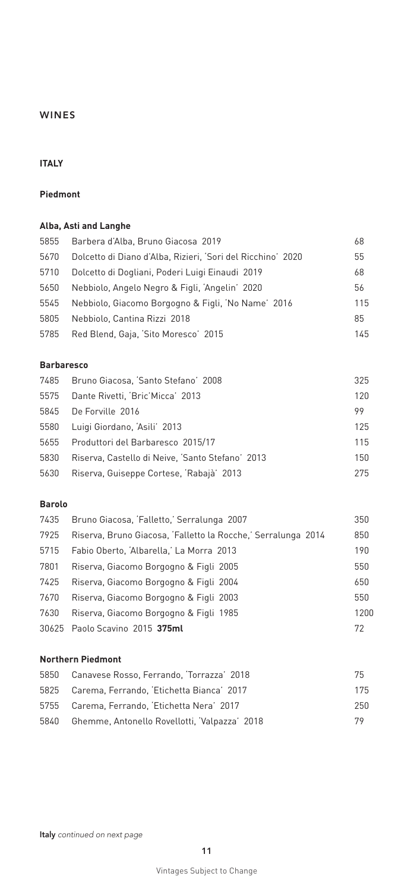# **ITALY**

### **Piedmont**

### **Alba, Asti and Langhe**

| 5855 | Barbera d'Alba, Bruno Giacosa 2019                          | 68  |
|------|-------------------------------------------------------------|-----|
| 5670 | Dolcetto di Diano d'Alba, Rizieri, 'Sori del Ricchino' 2020 | 55  |
| 5710 | Dolcetto di Dogliani, Poderi Luigi Einaudi 2019             | 68  |
| 5650 | Nebbiolo, Angelo Negro & Figli, 'Angelin' 2020              | 56  |
| 5545 | Nebbiolo, Giacomo Borgogno & Figli, 'No Name' 2016          | 115 |
| 5805 | Nebbiolo, Cantina Rizzi 2018                                | 85  |
| 5785 | Red Blend, Gaja, 'Sito Moresco' 2015                        | 145 |

#### **Barbaresco**

| 7485 Bruno Giacosa, 'Santo Stefano' 2008         | 325 |
|--------------------------------------------------|-----|
| Dante Rivetti, 'Bric'Micca' 2013                 | 120 |
| De Forville 2016                                 | 99  |
| Luigi Giordano, 'Asili' 2013                     | 125 |
| Produttori del Barbaresco 2015/17                | 115 |
| Riserva, Castello di Neive, 'Santo Stefano' 2013 | 150 |
| Riserva, Guiseppe Cortese, 'Rabajà' 2013         | 275 |
|                                                  |     |

### **Barolo**

| 7435 | Bruno Giacosa, 'Falletto,' Serralunga 2007                    | 350  |
|------|---------------------------------------------------------------|------|
| 7925 | Riserva, Bruno Giacosa, 'Falletto la Rocche,' Serralunga 2014 | 850  |
| 5715 | Fabio Oberto, 'Albarella,' La Morra 2013                      | 190  |
| 7801 | Riserva, Giacomo Borgogno & Figli 2005                        | 550  |
| 7425 | Riserva, Giacomo Borgogno & Figli 2004                        | 650  |
| 7670 | Riserva, Giacomo Borgogno & Figli 2003                        | 550  |
| 7630 | Riserva, Giacomo Borgogno & Figli 1985                        | 1200 |
|      | 30625 Paolo Scavino 2015 375ml                                | 72   |

# **Northern Piedmont**

| 5850 Canavese Rosso, Ferrando, 'Torrazza' 2018     | 75   |
|----------------------------------------------------|------|
| 5825 Carema, Ferrando, 'Etichetta Bianca' 2017     | 175  |
| 5755 Carema, Ferrando, 'Etichetta Nera' 2017       | 250. |
| 5840 Ghemme, Antonello Rovellotti, 'Valpazza' 2018 | 79   |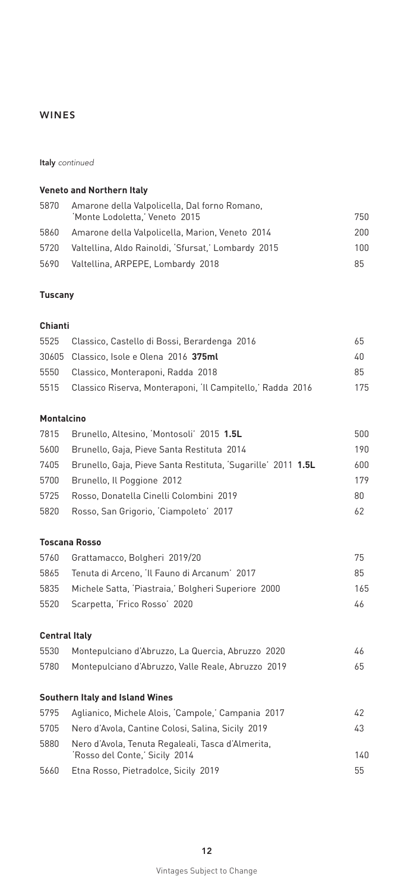Italy *continued*

### **Veneto and Northern Italy**

| 5870 | Amarone della Valpolicella, Dal forno Romano,       |      |
|------|-----------------------------------------------------|------|
|      | 'Monte Lodoletta,' Veneto 2015                      | 750. |
| 5860 | Amarone della Valpolicella, Marion, Veneto 2014     | 200. |
| 5720 | Valtellina, Aldo Rainoldi, 'Sfursat,' Lombardy 2015 | 100. |
| 5690 | Valtellina, ARPEPE, Lombardy 2018                   | 85   |

### **Tuscany**

### **Chianti**

| 5525 Classico, Castello di Bossi, Berardenga 2016               | 65  |
|-----------------------------------------------------------------|-----|
| 30605 Classico, Isole e Olena 2016 375ml                        | 40  |
| 5550 Classico, Monteraponi, Radda 2018                          | 85  |
| 5515 Classico Riserva, Monteraponi, 'Il Campitello,' Radda 2016 | 175 |

#### **Montalcino**

| 7815 | Brunello, Altesino, 'Montosoli' 2015 1.5L                    | 500 |
|------|--------------------------------------------------------------|-----|
| 5600 | Brunello, Gaja, Pieve Santa Restituta 2014                   | 190 |
| 7405 | Brunello, Gaja, Pieve Santa Restituta, 'Sugarille' 2011 1.5L | 600 |
| 5700 | Brunello, Il Poggione 2012                                   | 179 |
| 5725 | Rosso, Donatella Cinelli Colombini 2019                      | 80  |
| 5820 | Rosso, San Grigorio, 'Ciampoleto' 2017                       | 62  |
|      |                                                              |     |
|      | <b>Toscana Rosso</b>                                         |     |
| 5760 | Grattamacco, Bolgheri 2019/20                                | 75  |

| 5865 Tenuta di Arceno, 'Il Fauno di Arcanum' 2017        | 85  |
|----------------------------------------------------------|-----|
| 5835 Michele Satta, 'Piastraia,' Bolgheri Superiore 2000 | 165 |
| 5520 Scarpetta, 'Frico Rosso' 2020                       | 46  |

### **Central Italy**

| 5530 | Montepulciano d'Abruzzo, La Quercia, Abruzzo 2020  |    |
|------|----------------------------------------------------|----|
| 5780 | Montepulciano d'Abruzzo, Valle Reale, Abruzzo 2019 | 65 |

### **Southern Italy and Island Wines**

| 5795 | Aglianico, Michele Alois, 'Campole,' Campania 2017                                  | 42   |
|------|-------------------------------------------------------------------------------------|------|
| 5705 | Nero d'Avola, Cantine Colosi, Salina, Sicily 2019                                   | 43   |
| 5880 | Nero d'Avola, Tenuta Regaleali, Tasca d'Almerita,<br>'Rosso del Conte,' Sicily 2014 | 140. |
| 5660 | Etna Rosso, Pietradolce, Sicily 2019                                                | 55   |
|      |                                                                                     |      |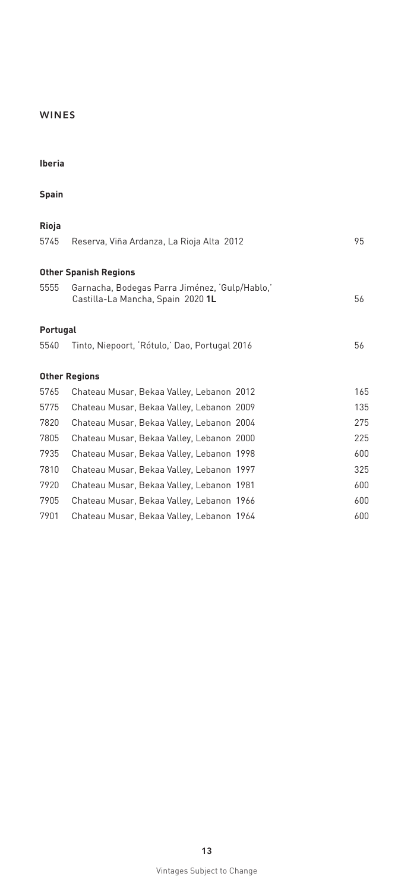| $\sim$ | and the control of |
|--------|--------------------|
|        |                    |

|        | and the control of |  |
|--------|--------------------|--|
| $\sim$ |                    |  |

| Rioja    |                                                                                     |     |
|----------|-------------------------------------------------------------------------------------|-----|
| 5745     | Reserva, Viña Ardanza, La Rioja Alta 2012                                           | 95  |
|          | <b>Other Spanish Regions</b>                                                        |     |
| 5555     | Garnacha, Bodegas Parra Jiménez, 'Gulp/Hablo,'<br>Castilla-La Mancha, Spain 2020 1L | 56  |
| Portugal |                                                                                     |     |
| 5540     | Tinto, Niepoort, 'Rótulo,' Dao, Portugal 2016                                       | 56  |
|          |                                                                                     |     |
|          | <b>Other Regions</b>                                                                |     |
| 5765     | Chateau Musar, Bekaa Valley, Lebanon 2012                                           | 165 |
| 5775     | Chateau Musar, Bekaa Valley, Lebanon 2009                                           | 135 |
| 7820     | Chateau Musar, Bekaa Valley, Lebanon 2004                                           | 275 |
| 7805     | Chateau Musar, Bekaa Valley, Lebanon 2000                                           | 225 |
| 7935     | Chateau Musar, Bekaa Valley, Lebanon 1998                                           | 600 |
| 7810     | Chateau Musar, Bekaa Valley, Lebanon 1997                                           | 325 |
| 7920     | Chateau Musar, Bekaa Valley, Lebanon 1981                                           | 600 |
| 7905     | Chateau Musar, Bekaa Valley, Lebanon 1966                                           | 600 |
| 7901     | Chateau Musar, Bekaa Valley, Lebanon 1964                                           | 600 |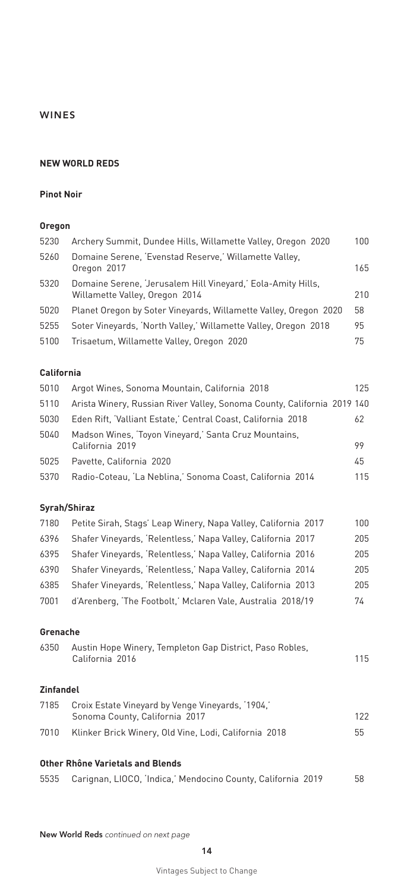#### **NEW WORLD REDS**

#### **Pinot Noir**

#### **Oregon**

| 5230              | Archery Summit, Dundee Hills, Willamette Valley, Oregon 2020                                   | 100 |
|-------------------|------------------------------------------------------------------------------------------------|-----|
| 5260              | Domaine Serene, 'Evenstad Reserve,' Willamette Valley,<br>Oregon 2017                          | 165 |
| 5320              | Domaine Serene, 'Jerusalem Hill Vineyard,' Eola-Amity Hills,<br>Willamette Valley, Oregon 2014 | 210 |
| 5020              | Planet Oregon by Soter Vineyards, Willamette Valley, Oregon 2020                               | 58  |
| 5255              | Soter Vineyards, 'North Valley,' Willamette Valley, Oregon 2018                                | 95  |
| 5100              | Trisaetum, Willamette Valley, Oregon 2020                                                      | 75  |
| <b>California</b> |                                                                                                |     |
| 5010              | Argot Wines, Sonoma Mountain, California 2018                                                  | 125 |
| 5110              | Arista Winery, Russian River Valley, Sonoma County, California 2019 140                        |     |

|      | -5110 - Arista Winery, Russian River Valley, Sonoma County, California 2019-140 |     |
|------|---------------------------------------------------------------------------------|-----|
| 5030 | Eden Rift, 'Valliant Estate,' Central Coast, California 2018                    | 62  |
| 5040 | Madson Wines, 'Toyon Vineyard,' Santa Cruz Mountains,<br>California 2019        | 99  |
| 5025 | Pavette, California 2020                                                        | 45  |
| 5370 | Radio-Coteau, 'La Neblina,' Sonoma Coast, California 2014                       | 115 |

### **Syrah/Shiraz**

| Petite Sirah, Stags' Leap Winery, Napa Valley, California 2017 | 100 |
|----------------------------------------------------------------|-----|
| Shafer Vineyards, 'Relentless,' Napa Valley, California 2017   | 205 |
| Shafer Vineyards, 'Relentless,' Napa Valley, California 2016   | 205 |
| Shafer Vineyards, 'Relentless,' Napa Valley, California 2014   | 205 |
| Shafer Vineyards, 'Relentless,' Napa Valley, California 2013   | 205 |
| d'Arenberg, 'The Footbolt,' Mclaren Vale, Australia 2018/19    | 74  |
|                                                                |     |

### **Grenache**

| 6350 | Austin Hope Winery, Templeton Gap District, Paso Robles, |     |
|------|----------------------------------------------------------|-----|
|      | California 2016                                          | 115 |
|      |                                                          |     |

# **Zinfandel**

| 7185 | Croix Estate Vineyard by Venge Vineyards, 1904,       |     |  |  |  |
|------|-------------------------------------------------------|-----|--|--|--|
|      | Sonoma County, California 2017                        | 122 |  |  |  |
| 7010 | Klinker Brick Winery, Old Vine, Lodi, California 2018 | 55  |  |  |  |
|      |                                                       |     |  |  |  |

# **Other Rhône Varietals and Blends**

|  |  | 5535 Carignan, LIOCO, 'Indica,' Mendocino County, California 2019 |  | 58 |
|--|--|-------------------------------------------------------------------|--|----|
|  |  |                                                                   |  |    |

New World Reds *continued on next page*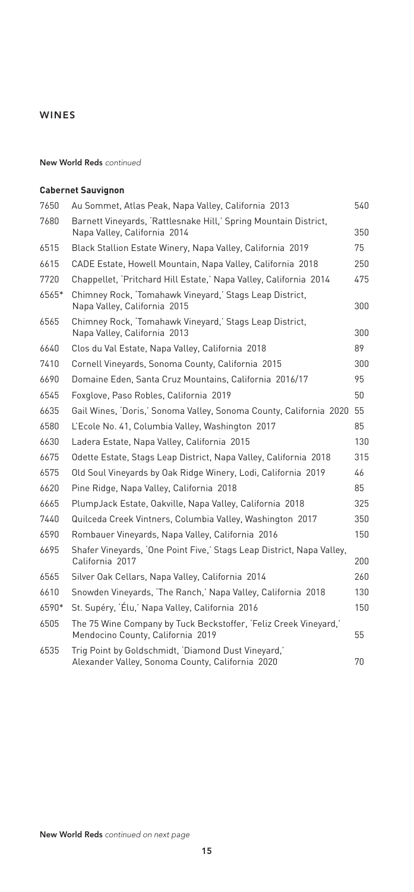#### New World Reds *continued*

#### **Cabernet Sauvignon**

| 7650  | Au Sommet, Atlas Peak, Napa Valley, California 2013                                                     | 540 |
|-------|---------------------------------------------------------------------------------------------------------|-----|
| 7680  | Barnett Vineyards, 'Rattlesnake Hill,' Spring Mountain District,<br>Napa Valley, California 2014        | 350 |
| 6515  | Black Stallion Estate Winery, Napa Valley, California 2019                                              | 75  |
| 6615  | CADE Estate, Howell Mountain, Napa Valley, California 2018                                              | 250 |
| 7720  | Chappellet, 'Pritchard Hill Estate,' Napa Valley, California 2014                                       | 475 |
| 6565* | Chimney Rock, 'Tomahawk Vineyard,' Stags Leap District,<br>Napa Valley, California 2015                 | 300 |
| 6565  | Chimney Rock, 'Tomahawk Vineyard,' Stags Leap District,<br>Napa Valley, California 2013                 | 300 |
| 6640  | Clos du Val Estate, Napa Valley, California 2018                                                        | 89  |
| 7410  | Cornell Vineyards, Sonoma County, California 2015                                                       | 300 |
| 6690  | Domaine Eden, Santa Cruz Mountains, California 2016/17                                                  | 95  |
| 6545  | Foxglove, Paso Robles, California 2019                                                                  | 50  |
| 6635  | Gail Wines, 'Doris,' Sonoma Valley, Sonoma County, California 2020                                      | 55  |
| 6580  | L'Ecole No. 41, Columbia Valley, Washington 2017                                                        | 85  |
| 6630  | Ladera Estate, Napa Valley, California 2015                                                             | 130 |
| 6675  | Odette Estate, Stags Leap District, Napa Valley, California 2018                                        | 315 |
| 6575  | Old Soul Vineyards by Oak Ridge Winery, Lodi, California 2019                                           | 46  |
| 6620  | Pine Ridge, Napa Valley, California 2018                                                                | 85  |
| 6665  | PlumpJack Estate, Oakville, Napa Valley, California 2018                                                | 325 |
| 7440  | Quilceda Creek Vintners, Columbia Valley, Washington 2017                                               | 350 |
| 6590  | Rombauer Vineyards, Napa Valley, California 2016                                                        | 150 |
| 6695  | Shafer Vineyards, 'One Point Five,' Stags Leap District, Napa Valley,<br>California 2017                | 200 |
| 6565  | Silver Oak Cellars, Napa Valley, California 2014                                                        | 260 |
| 6610  | Snowden Vineyards, 'The Ranch,' Napa Valley, California 2018                                            | 130 |
| 6590* | St. Supéry, 'Élu,' Napa Valley, California 2016                                                         | 150 |
| 6505  | The 75 Wine Company by Tuck Beckstoffer, 'Feliz Creek Vineyard,'<br>Mendocino County, California 2019   | 55  |
| 6535  | Trig Point by Goldschmidt, 'Diamond Dust Vineyard,'<br>Alexander Valley, Sonoma County, California 2020 | 70  |